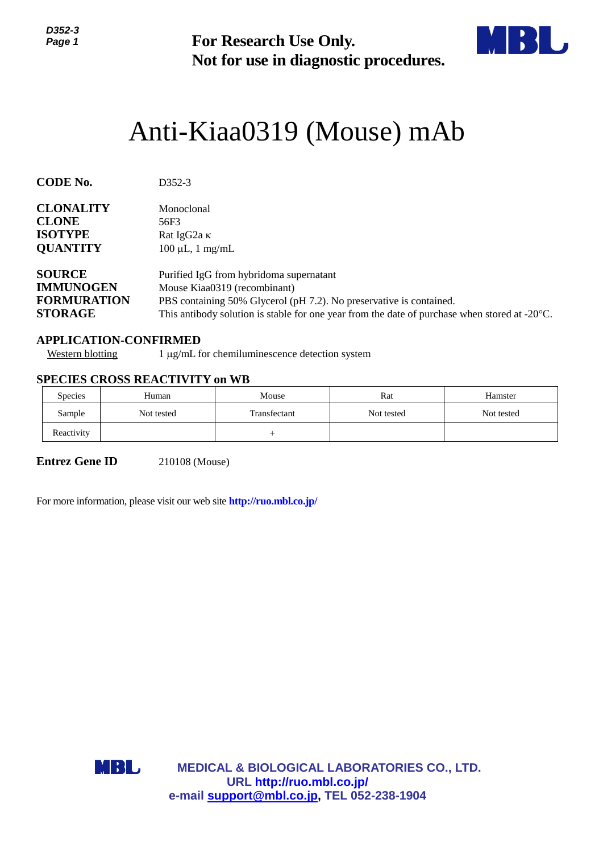

# Anti-Kiaa0319 (Mouse) mAb

| נ-געט<br>Page 1                                                                                       | <b>For Research Use Only.</b><br>Not for use in diagnostic procedures.                                                                                                                                                                                    |                                                                         |                                                        |            |  |  |  |
|-------------------------------------------------------------------------------------------------------|-----------------------------------------------------------------------------------------------------------------------------------------------------------------------------------------------------------------------------------------------------------|-------------------------------------------------------------------------|--------------------------------------------------------|------------|--|--|--|
|                                                                                                       |                                                                                                                                                                                                                                                           |                                                                         | Anti-Kiaa0319 (Mouse) mAb                              |            |  |  |  |
| <b>CODE No.</b>                                                                                       | D352-3                                                                                                                                                                                                                                                    |                                                                         |                                                        |            |  |  |  |
| <b>CLONALITY</b><br><b>CLONE</b><br><b>ISOTYPE</b><br><b>QUANTITY</b>                                 | Monoclonal<br>56F3<br>Rat IgG2a K<br>$100 \mu L$ , 1 mg/mL                                                                                                                                                                                                |                                                                         |                                                        |            |  |  |  |
| <b>SOURCE</b><br><b>IMMUNOGEN</b><br><b>FORMURATION</b><br><b>STORAGE</b>                             | Purified IgG from hybridoma supernatant<br>Mouse Kiaa0319 (recombinant)<br>PBS containing 50% Glycerol (pH 7.2). No preservative is contained.<br>This antibody solution is stable for one year from the date of purchase when stored at $-20^{\circ}$ C. |                                                                         |                                                        |            |  |  |  |
| <b>APPLICATION-CONFIRMED</b><br><b>Western blotting</b>                                               |                                                                                                                                                                                                                                                           | 1 μg/mL for chemiluminescence detection system                          |                                                        |            |  |  |  |
| <b>SPECIES CROSS REACTIVITY on WB</b>                                                                 |                                                                                                                                                                                                                                                           |                                                                         |                                                        |            |  |  |  |
| Species                                                                                               | Human                                                                                                                                                                                                                                                     | Mouse                                                                   | Rat                                                    | Hamster    |  |  |  |
| Sample                                                                                                | Not tested                                                                                                                                                                                                                                                | Transfectant                                                            | Not tested                                             | Not tested |  |  |  |
| Reactivity                                                                                            |                                                                                                                                                                                                                                                           | $^{+}$                                                                  |                                                        |            |  |  |  |
| <b>Entrez Gene ID</b><br>For more information, please visit our web site <b>http://ruo.mbl.co.jp/</b> | 210108 (Mouse)                                                                                                                                                                                                                                            |                                                                         |                                                        |            |  |  |  |
|                                                                                                       |                                                                                                                                                                                                                                                           |                                                                         |                                                        |            |  |  |  |
|                                                                                                       |                                                                                                                                                                                                                                                           |                                                                         |                                                        |            |  |  |  |
|                                                                                                       |                                                                                                                                                                                                                                                           |                                                                         |                                                        |            |  |  |  |
|                                                                                                       |                                                                                                                                                                                                                                                           |                                                                         |                                                        |            |  |  |  |
|                                                                                                       |                                                                                                                                                                                                                                                           |                                                                         |                                                        |            |  |  |  |
| MBL                                                                                                   |                                                                                                                                                                                                                                                           |                                                                         | <b>MEDICAL &amp; BIOLOGICAL LABORATORIES CO., LTD.</b> |            |  |  |  |
|                                                                                                       |                                                                                                                                                                                                                                                           | URL http://ruo.mbl.co.jp/<br>e-mail support@mbl.co.jp, TEL 052-238-1904 |                                                        |            |  |  |  |

## **APPLICATION-CONFIRMED**

## **SPECIES CROSS REACTIVITY on WB**

| <b>Species</b> | Human      | Mouse        | Rat        | Hamster    |
|----------------|------------|--------------|------------|------------|
| Sample         | Not tested | Transfectant | Not tested | Not tested |
| Reactivity     |            |              |            |            |

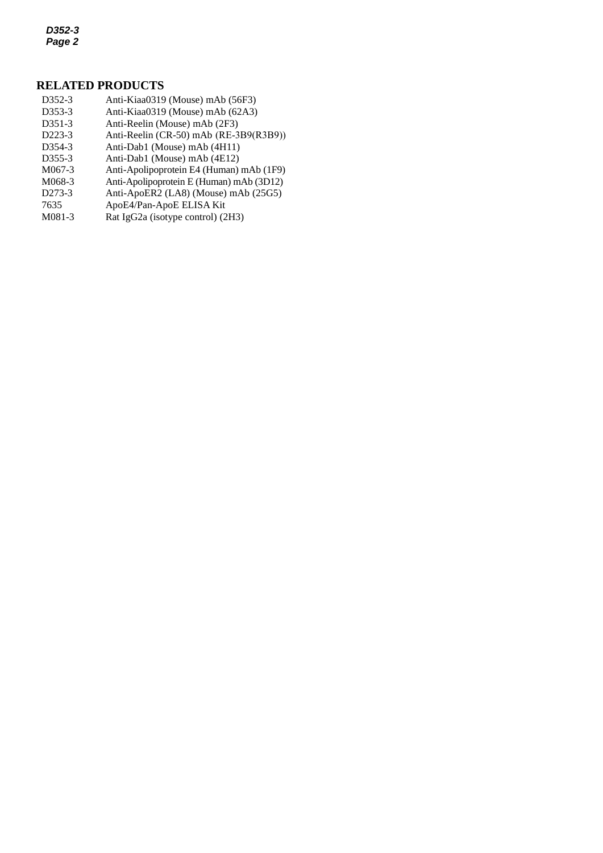*D352-3 Page 2*

#### **RELATED PRODUCTS**

- D352-3 Anti-Kiaa0319 (Mouse) mAb (56F3)
- *3* D353-3 [Anti-Kiaa0319](http://ruo.mbl.co.jp/dtl/A/K0106-3/) (Mouse) mAb (62A3)
- D351-3 Anti-Reelin (Mouse) mAb (2F3)
- D223-3 Anti-Reelin [\(CR-50\) mAb](http://ruo.mbl.co.jp/dtl/A/K0106-3/) (RE-3B9(R3B9))
- D354-3 Anti-Dab1 (Mouse) mAb (4H11)
- D355-3 Anti-Dab1 (Mouse) mAb (4E12)
- M067-3 Anti-Apolipoprotein E4 (Human) mAb (1F9)
- M068-3 Anti-Apolipoprotein E (Human) mAb (3D12)
- D273-3 [Anti-ApoER2 \(LA8\) \(Mouse\) mAb](http://ruo.mbl.co.jp/dtl/A/D273-3/) (25G5)
- 7635 ApoE4/Pan-ApoE ELISA Kit<br>M081-3 Rat IgG2a (isotype control) (2
- [Rat IgG2a \(isotype control\)](http://ruo.mbl.co.jp/dtl/A/M081-3/) (2H3)